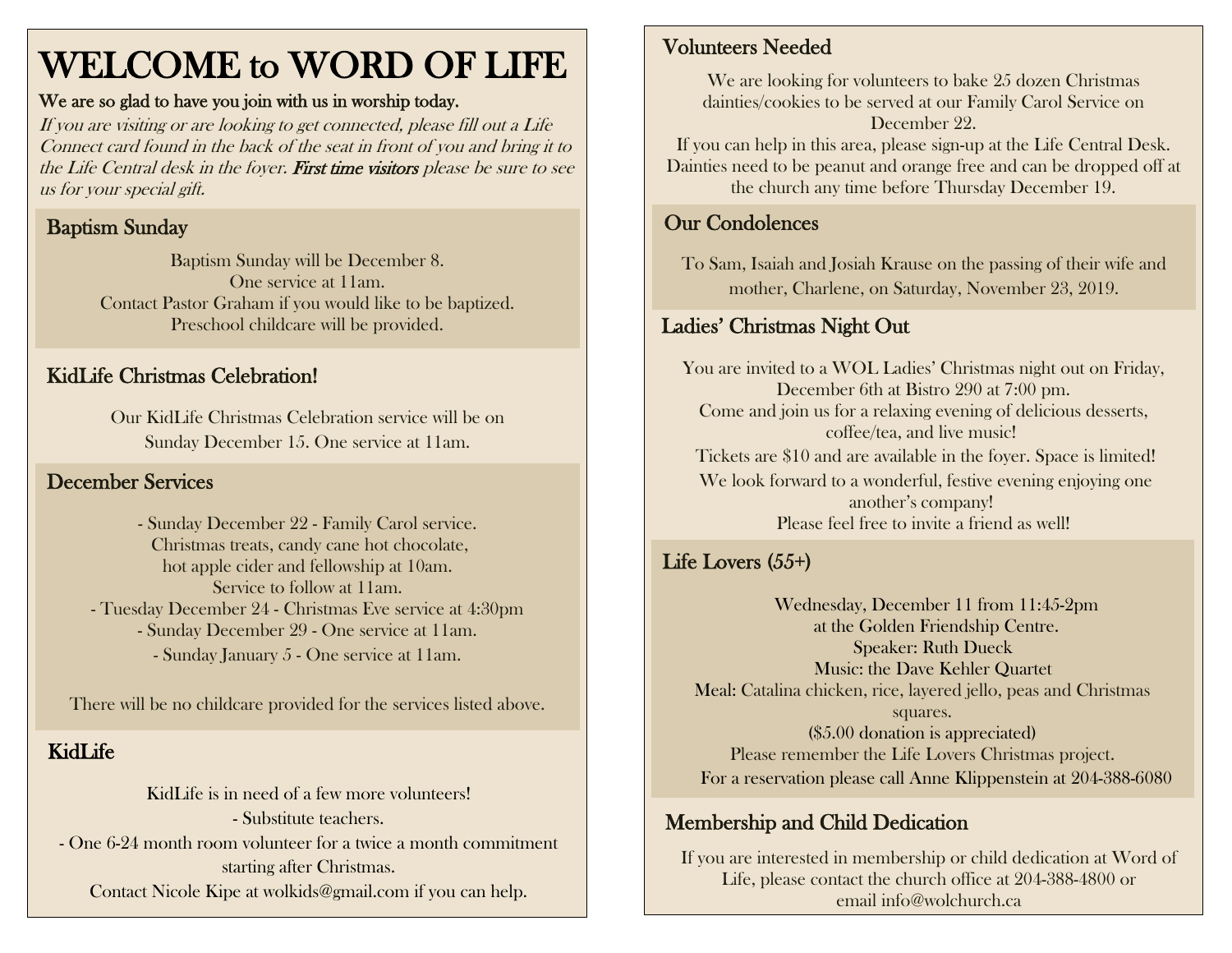# WELCOME to WORD OF LIFE

#### We are so glad to have you join with us in worship today.

If you are visiting or are looking to get connected, please fill out a Life Connect card found in the back of the seat in front of you and bring it to the Life Central desk in the foyer. First time visitors please be sure to see us for your special gift.

## Baptism Sunday

Baptism Sunday will be December 8. One service at 11am. Contact Pastor Graham if you would like to be baptized. Preschool childcare will be provided.

## KidLife Christmas Celebration!

Our KidLife Christmas Celebration service will be on Sunday December 15. One service at 11am.

### December Services

- Sunday December 22 - Family Carol service. Christmas treats, candy cane hot chocolate, hot apple cider and fellowship at 10am. Service to follow at 11am. - Tuesday December 24 - Christmas Eve service at 4:30pm - Sunday December 29 - One service at 11am. - Sunday January 5 - One service at 11am.

There will be no childcare provided for the services listed above.

# KidLife

KidLife is in need of a few more volunteers! - Substitute teachers. - One 6-24 month room volunteer for a twice a month commitment starting after Christmas. Contact Nicole Kipe at [wolkids@gmail.com](mailto:wolkids@gmail.com) if you can help.

#### Volunteers Needed

We are looking for volunteers to bake 25 dozen Christmas dainties/cookies to be served at our Family Carol Service on December 22.

If you can help in this area, please sign-up at the Life Central Desk. Dainties need to be peanut and orange free and can be dropped off at the church any time before Thursday December 19.

### Our Condolences

To Sam, Isaiah and Josiah Krause on the passing of their wife and mother, Charlene, on Saturday, November 23, 2019.

# Ladies' Christmas Night Out

You are invited to a WOL Ladies' Christmas night out on Friday, December 6th at Bistro 290 at 7:00 pm. Come and join us for a relaxing evening of delicious desserts, coffee/tea, and live music! Tickets are \$10 and are available in the foyer. Space is limited! We look forward to a wonderful, festive evening enjoying one another's company! Please feel free to invite a friend as well!

# Life Lovers (55+)

Wednesday, December 11 from 11:45-2pm at the Golden Friendship Centre. Speaker: Ruth Dueck Music: the Dave Kehler Quartet Meal: Catalina chicken, rice, layered jello, peas and Christmas squares. (\$5.00 donation is appreciated) Please remember the Life Lovers Christmas project. For a reservation please call Anne Klippenstein at 204-388-6080

#### Membership and Child Dedication

If you are interested in membership or child dedication at Word of Life, please contact the church office at 204-388-4800 or email info@wolchurch.ca